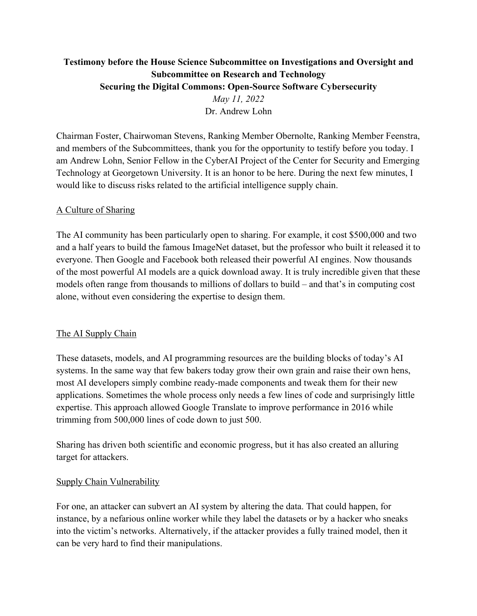# **Testimony before the House Science Subcommittee on Investigations and Oversight and Subcommittee on Research and Technology Securing the Digital Commons: Open-Source Software Cybersecurity**

*May 11, 2022* Dr. Andrew Lohn

Chairman Foster, Chairwoman Stevens, Ranking Member Obernolte, Ranking Member Feenstra, and members of the Subcommittees, thank you for the opportunity to testify before you today. I am Andrew Lohn, Senior Fellow in the CyberAI Project of the Center for Security and Emerging Technology at Georgetown University. It is an honor to be here. During the next few minutes, I would like to discuss risks related to the artificial intelligence supply chain.

## A Culture of Sharing

The AI community has been particularly open to sharing. For example, it cost \$500,000 and two and a half years to build the famous ImageNet dataset, but the professor who built it released it to everyone. Then Google and Facebook both released their powerful AI engines. Now thousands of the most powerful AI models are a quick download away. It is truly incredible given that these models often range from thousands to millions of dollars to build – and that's in computing cost alone, without even considering the expertise to design them.

### The AI Supply Chain

These datasets, models, and AI programming resources are the building blocks of today's AI systems. In the same way that few bakers today grow their own grain and raise their own hens, most AI developers simply combine ready-made components and tweak them for their new applications. Sometimes the whole process only needs a few lines of code and surprisingly little expertise. This approach allowed Google Translate to improve performance in 2016 while trimming from 500,000 lines of code down to just 500.

Sharing has driven both scientific and economic progress, but it has also created an alluring target for attackers.

### Supply Chain Vulnerability

For one, an attacker can subvert an AI system by altering the data. That could happen, for instance, by a nefarious online worker while they label the datasets or by a hacker who sneaks into the victim's networks. Alternatively, if the attacker provides a fully trained model, then it can be very hard to find their manipulations.